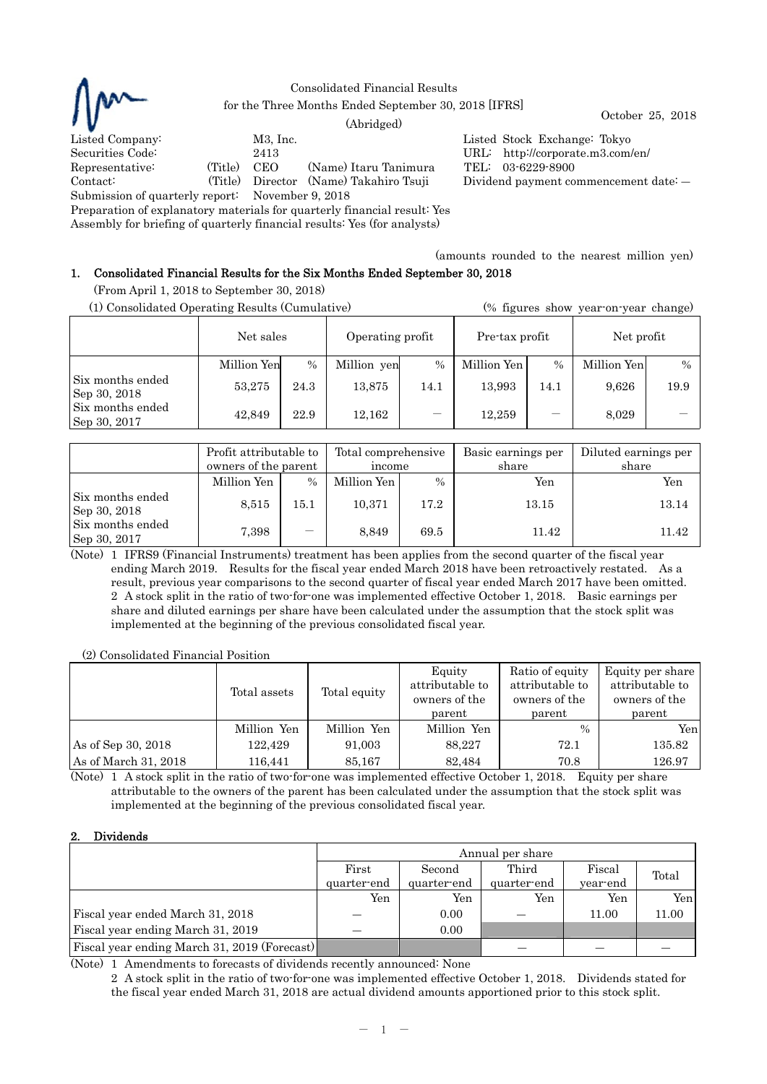

Consolidated Financial Results for the Three Months Ended September 30, 2018 [IFRS] October 25, 2018 (Abridged)

Listed Company: M3, Inc. Listed Stock Exchange: Tokyo Securities Code: 2413 URL: http://corporate.m3.com/en/ Representative: (Title) CEO (Name) Itaru Tanimura TEL: 03-6229-8900 Contact: (Title) Director (Name) Takahiro Tsuji Dividend payment commencement date: ― Submission of quarterly report: November 9, 2018

Preparation of explanatory materials for quarterly financial result: Yes

Assembly for briefing of quarterly financial results: Yes (for analysts)

(amounts rounded to the nearest million yen)

# 1. Consolidated Financial Results for the Six Months Ended September 30, 2018

(From April 1, 2018 to September 30, 2018)

| (1) Consolidated Operating Results (Cumulative) |             |      |                  |      | (% figures show year-on-year change) |      |             |               |
|-------------------------------------------------|-------------|------|------------------|------|--------------------------------------|------|-------------|---------------|
|                                                 | Net sales   |      | Operating profit |      | Pre-tax profit                       |      | Net profit  |               |
|                                                 | Million Yen | $\%$ | Million yen      | $\%$ | Million Yen                          | $\%$ | Million Yen | $\frac{0}{0}$ |
| Six months ended<br>Sep 30, 2018                | 53,275      | 24.3 | 13,875           | 14.1 | 13.993                               | 14.1 | 9,626       | 19.9          |
| Six months ended<br>Sep 30, 2017                | 42.849      | 22.9 | 12,162           |      | 12.259                               |      | 8,029       |               |

|                                  | Profit attributable to<br>owners of the parent |               | Total comprehensive<br>income |               | Basic earnings per<br>share | Diluted earnings per<br>share |  |
|----------------------------------|------------------------------------------------|---------------|-------------------------------|---------------|-----------------------------|-------------------------------|--|
|                                  | Million Yen                                    | $\frac{0}{0}$ | Million Yen                   | $\frac{0}{0}$ | Yen                         | Yen                           |  |
| Six months ended<br>Sep 30, 2018 | 8.515                                          | 15.1          | 10,371                        | 17.2          | 13.15                       | 13.14                         |  |
| Six months ended<br>Sep 30, 2017 | 7,398                                          | —             | 8,849                         | 69.5          | 11.42                       | 11.42                         |  |

(Note) 1 IFRS9 (Financial Instruments) treatment has been applies from the second quarter of the fiscal year ending March 2019. Results for the fiscal year ended March 2018 have been retroactively restated. As a result, previous year comparisons to the second quarter of fiscal year ended March 2017 have been omitted. 2 A stock split in the ratio of two-for-one was implemented effective October 1, 2018. Basic earnings per share and diluted earnings per share have been calculated under the assumption that the stock split was implemented at the beginning of the previous consolidated fiscal year.

(2) Consolidated Financial Position

|                      | Total assets | Total equity | Equity<br>attributable to<br>owners of the<br>parent | Ratio of equity<br>attributable to<br>owners of the<br>parent | Equity per share<br>attributable to<br>owners of the<br>parent |
|----------------------|--------------|--------------|------------------------------------------------------|---------------------------------------------------------------|----------------------------------------------------------------|
|                      | Million Yen  | Million Yen  | Million Yen                                          | $\frac{0}{0}$                                                 | Yen                                                            |
| As of Sep 30, 2018   | 122,429      | 91.003       | 88.227                                               | 72.1                                                          | 135.82                                                         |
| As of March 31, 2018 | 116,441      | 85,167       | 82,484                                               | 70.8                                                          | 126.97                                                         |

(Note) 1 A stock split in the ratio of two-for-one was implemented effective October 1, 2018. Equity per share attributable to the owners of the parent has been calculated under the assumption that the stock split was implemented at the beginning of the previous consolidated fiscal year.

# 2. Dividends

|                                              | Annual per share |             |             |          |       |  |
|----------------------------------------------|------------------|-------------|-------------|----------|-------|--|
|                                              | First            | Second      | Third       | Fiscal   | Total |  |
|                                              | quarter-end      | quarter-end | quarter-end | year-end |       |  |
|                                              | Yen              | Yen         | Yen         | Yen      | Yen   |  |
| Fiscal year ended March 31, 2018             |                  | 0.00        |             | 11.00    | 11.00 |  |
| Fiscal year ending March 31, 2019            |                  | 0.00        |             |          |       |  |
| Fiscal year ending March 31, 2019 (Forecast) |                  |             |             |          |       |  |

(Note) 1 Amendments to forecasts of dividends recently announced: None

 2 A stock split in the ratio of two-for-one was implemented effective October 1, 2018. Dividends stated for the fiscal year ended March 31, 2018 are actual dividend amounts apportioned prior to this stock split.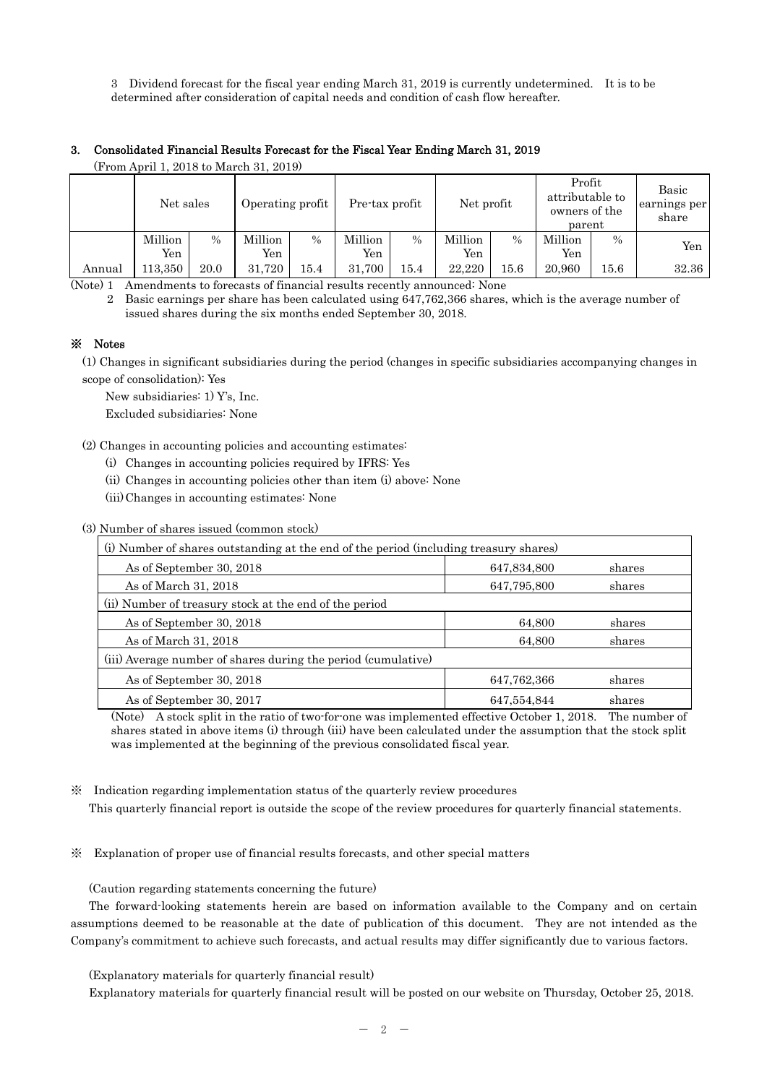3 Dividend forecast for the fiscal year ending March 31, 2019 is currently undetermined. It is to be determined after consideration of capital needs and condition of cash flow hereafter.

## 3. Consolidated Financial Results Forecast for the Fiscal Year Ending March 31, 2019

(From April 1, 2018 to March 31, 2019) Net sales | Operating profit | Pre-tax profit | Net profit Profit attributable to owners of the parent earnings per Million Yen % Million Yen % Million Yen % Million Yen % Million Yen  $\%$  Yen Annual | 113,350 | 20.0 | 31,720 | 15.4 | 31,700 | 15.4 | 22,220 | 15.6 | 20,960 | 15.6 | 32.36

(Note) 1 Amendments to forecasts of financial results recently announced: None

2 Basic earnings per share has been calculated using 647,762,366 shares, which is the average number of issued shares during the six months ended September 30, 2018.

Basic

share

## ※ Notes

(1) Changes in significant subsidiaries during the period (changes in specific subsidiaries accompanying changes in scope of consolidation): Yes

New subsidiaries: 1) Y's, Inc.

Excluded subsidiaries: None

(2) Changes in accounting policies and accounting estimates:

- (i) Changes in accounting policies required by IFRS: Yes
- (ii) Changes in accounting policies other than item (i) above: None
- (iii) Changes in accounting estimates: None

(3) Number of shares issued (common stock)

| (i) Number of shares outstanding at the end of the period (including treasury shares) |             |        |  |  |  |  |
|---------------------------------------------------------------------------------------|-------------|--------|--|--|--|--|
| As of September 30, 2018                                                              | 647,834,800 | shares |  |  |  |  |
| As of March 31, 2018                                                                  | 647,795,800 | shares |  |  |  |  |
| (ii) Number of treasury stock at the end of the period                                |             |        |  |  |  |  |
| As of September 30, 2018                                                              | 64,800      | shares |  |  |  |  |
| As of March 31, 2018                                                                  | 64,800      | shares |  |  |  |  |
| (iii) Average number of shares during the period (cumulative)                         |             |        |  |  |  |  |
| As of September 30, 2018                                                              | 647,762,366 | shares |  |  |  |  |
| As of September 30, 2017                                                              | 647,554,844 | shares |  |  |  |  |

(Note) A stock split in the ratio of two-for-one was implemented effective October 1, 2018. The number of shares stated in above items (i) through (iii) have been calculated under the assumption that the stock split was implemented at the beginning of the previous consolidated fiscal year.

※ Indication regarding implementation status of the quarterly review procedures

This quarterly financial report is outside the scope of the review procedures for quarterly financial statements.

※ Explanation of proper use of financial results forecasts, and other special matters

(Caution regarding statements concerning the future)

The forward-looking statements herein are based on information available to the Company and on certain assumptions deemed to be reasonable at the date of publication of this document. They are not intended as the Company's commitment to achieve such forecasts, and actual results may differ significantly due to various factors.

(Explanatory materials for quarterly financial result)

Explanatory materials for quarterly financial result will be posted on our website on Thursday, October 25, 2018.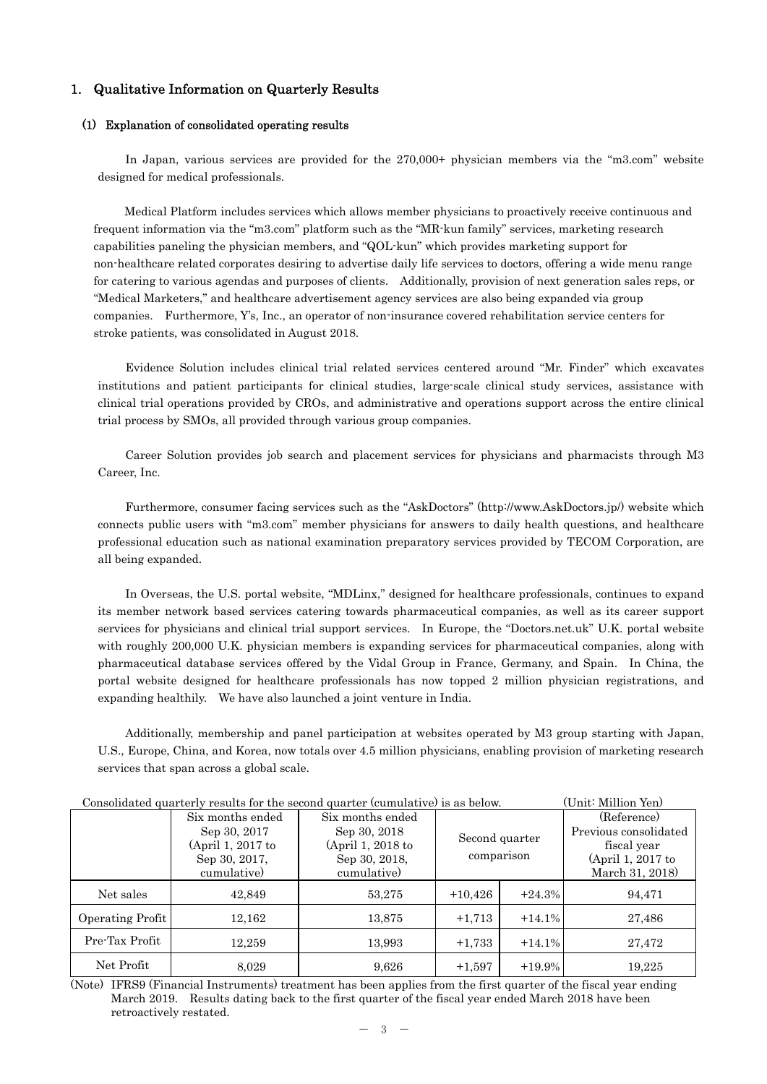## 1. Qualitative Information on Quarterly Results

#### (1) Explanation of consolidated operating results

In Japan, various services are provided for the 270,000+ physician members via the "m3.com" website designed for medical professionals.

 Medical Platform includes services which allows member physicians to proactively receive continuous and frequent information via the "m3.com" platform such as the "MR-kun family" services, marketing research capabilities paneling the physician members, and "QOL-kun" which provides marketing support for non-healthcare related corporates desiring to advertise daily life services to doctors, offering a wide menu range for catering to various agendas and purposes of clients. Additionally, provision of next generation sales reps, or "Medical Marketers," and healthcare advertisement agency services are also being expanded via group companies. Furthermore, Y's, Inc., an operator of non-insurance covered rehabilitation service centers for stroke patients, was consolidated in August 2018.

Evidence Solution includes clinical trial related services centered around "Mr. Finder" which excavates institutions and patient participants for clinical studies, large-scale clinical study services, assistance with clinical trial operations provided by CROs, and administrative and operations support across the entire clinical trial process by SMOs, all provided through various group companies.

Career Solution provides job search and placement services for physicians and pharmacists through M3 Career, Inc.

Furthermore, consumer facing services such as the "AskDoctors" (http://www.AskDoctors.jp/) website which connects public users with "m3.com" member physicians for answers to daily health questions, and healthcare professional education such as national examination preparatory services provided by TECOM Corporation, are all being expanded.

In Overseas, the U.S. portal website, "MDLinx," designed for healthcare professionals, continues to expand its member network based services catering towards pharmaceutical companies, as well as its career support services for physicians and clinical trial support services. In Europe, the "Doctors.net.uk" U.K. portal website with roughly 200,000 U.K. physician members is expanding services for pharmaceutical companies, along with pharmaceutical database services offered by the Vidal Group in France, Germany, and Spain. In China, the portal website designed for healthcare professionals has now topped 2 million physician registrations, and expanding healthily. We have also launched a joint venture in India.

Additionally, membership and panel participation at websites operated by M3 group starting with Japan, U.S., Europe, China, and Korea, now totals over 4.5 million physicians, enabling provision of marketing research services that span across a global scale.

| Consolidated quarterly results for the second quarter (cumulative) is as below. |                   |                   |                              |          | (Unit: Million Yen)   |
|---------------------------------------------------------------------------------|-------------------|-------------------|------------------------------|----------|-----------------------|
|                                                                                 | Six months ended  | Six months ended  | Second quarter<br>comparison |          | (Reference)           |
|                                                                                 | Sep 30, 2017      | Sep 30, 2018      |                              |          | Previous consolidated |
|                                                                                 | (April 1, 2017 to | (April 1, 2018 to |                              |          | fiscal year           |
|                                                                                 | Sep 30, 2017,     | Sep 30, 2018.     |                              |          | (April 1, 2017 to     |
|                                                                                 | cumulative)       | cumulative)       |                              |          | March 31, 2018)       |
| Net sales                                                                       | 42,849            | 53,275            | $+10,426$                    | $+24.3%$ | 94,471                |
| Operating Profit                                                                | 12,162            | 13,875            | $+1,713$                     | $+14.1%$ | 27,486                |
| Pre-Tax Profit                                                                  | 12.259            | 13,993            | $+1,733$                     | $+14.1%$ | 27,472                |
| Net Profit                                                                      | 8,029             | 9,626             | $+1,597$                     | $+19.9%$ | 19,225                |

(Note) IFRS9 (Financial Instruments) treatment has been applies from the first quarter of the fiscal year ending March 2019. Results dating back to the first quarter of the fiscal year ended March 2018 have been retroactively restated.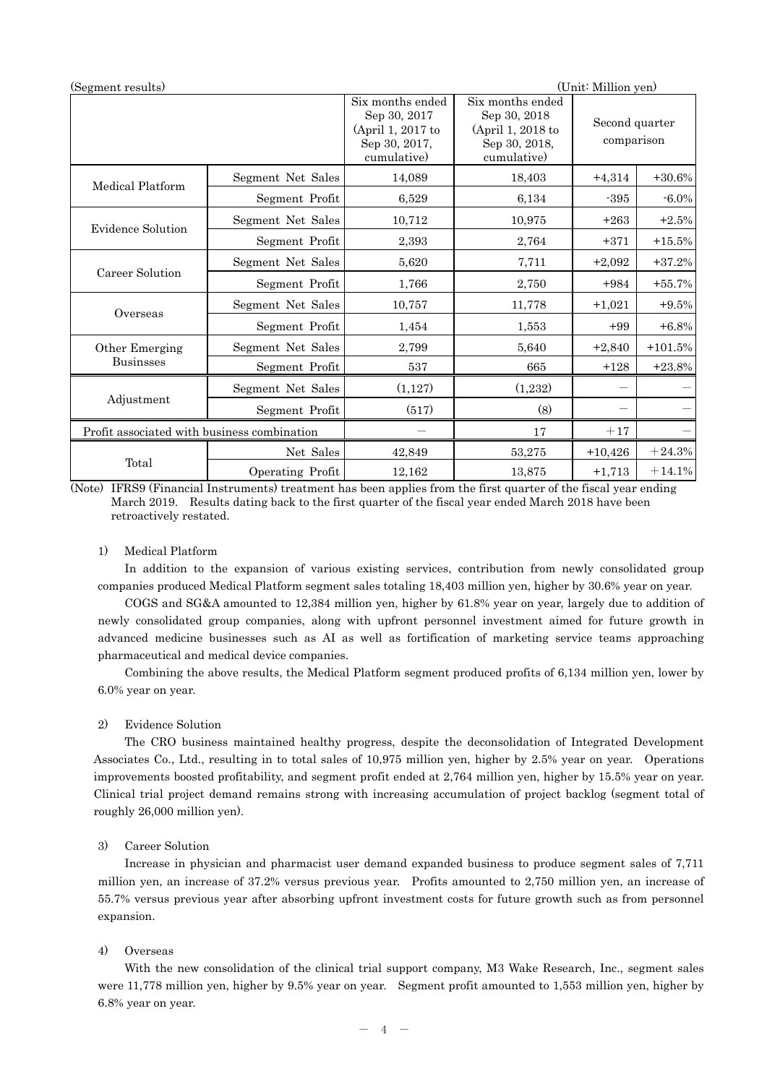| (Segment results)                           |                   |                                                                                       |                                                                                       | (Unit: Million yen)          |           |
|---------------------------------------------|-------------------|---------------------------------------------------------------------------------------|---------------------------------------------------------------------------------------|------------------------------|-----------|
|                                             |                   | Six months ended<br>Sep 30, 2017<br>(April 1, 2017 to<br>Sep 30, 2017,<br>cumulative) | Six months ended<br>Sep 30, 2018<br>(April 1, 2018 to<br>Sep 30, 2018,<br>cumulative) | Second quarter<br>comparison |           |
| Medical Platform                            | Segment Net Sales | 14,089                                                                                | 18,403                                                                                | $+4,314$                     | $+30.6%$  |
|                                             | Segment Profit    | 6,529                                                                                 | 6,134                                                                                 | $-395$                       | $-6.0\%$  |
| <b>Evidence Solution</b>                    | Segment Net Sales | 10,712                                                                                | 10,975                                                                                | $+263$                       | $+2.5%$   |
|                                             | Segment Profit    | 2,393                                                                                 | 2,764                                                                                 | $+371$                       | $+15.5%$  |
|                                             | Segment Net Sales | 5,620                                                                                 | 7,711                                                                                 | $+2,092$                     | $+37.2%$  |
| Career Solution                             | Segment Profit    | 1,766                                                                                 | 2,750                                                                                 | $+984$                       | $+55.7%$  |
| Overseas                                    | Segment Net Sales | 10,757                                                                                | 11,778                                                                                | $+1,021$                     | $+9.5%$   |
|                                             | Segment Profit    | 1,454                                                                                 | 1,553                                                                                 | $+99$                        | $+6.8%$   |
| Other Emerging                              | Segment Net Sales | 2,799                                                                                 | 5,640                                                                                 | $+2,840$                     | $+101.5%$ |
| <b>Businsses</b>                            | Segment Profit    | 537                                                                                   | 665                                                                                   | $+128$                       | $+23.8%$  |
|                                             | Segment Net Sales | (1,127)                                                                               | (1,232)                                                                               |                              |           |
| Adjustment                                  | Segment Profit    | (517)                                                                                 | (8)                                                                                   |                              |           |
| Profit associated with business combination |                   |                                                                                       | 17                                                                                    | $+17$                        |           |
|                                             | Net Sales         | 42,849                                                                                | 53,275                                                                                | $+10,426$                    | $+24.3%$  |
| Total                                       | Operating Profit  | 12,162                                                                                | 13,875                                                                                | $+1,713$                     | $+14.1%$  |

(Note) IFRS9 (Financial Instruments) treatment has been applies from the first quarter of the fiscal year ending March 2019. Results dating back to the first quarter of the fiscal year ended March 2018 have been retroactively restated.

### 1) Medical Platform

In addition to the expansion of various existing services, contribution from newly consolidated group companies produced Medical Platform segment sales totaling 18,403 million yen, higher by 30.6% year on year.

 COGS and SG&A amounted to 12,384 million yen, higher by 61.8% year on year, largely due to addition of newly consolidated group companies, along with upfront personnel investment aimed for future growth in advanced medicine businesses such as AI as well as fortification of marketing service teams approaching pharmaceutical and medical device companies.

 Combining the above results, the Medical Platform segment produced profits of 6,134 million yen, lower by 6.0% year on year.

### 2) Evidence Solution

The CRO business maintained healthy progress, despite the deconsolidation of Integrated Development Associates Co., Ltd., resulting in to total sales of 10,975 million yen, higher by 2.5% year on year. Operations improvements boosted profitability, and segment profit ended at 2,764 million yen, higher by 15.5% year on year. Clinical trial project demand remains strong with increasing accumulation of project backlog (segment total of roughly 26,000 million yen).

#### 3) Career Solution

Increase in physician and pharmacist user demand expanded business to produce segment sales of 7,711 million yen, an increase of 37.2% versus previous year. Profits amounted to 2,750 million yen, an increase of 55.7% versus previous year after absorbing upfront investment costs for future growth such as from personnel expansion.

### 4) Overseas

 With the new consolidation of the clinical trial support company, M3 Wake Research, Inc., segment sales were 11,778 million yen, higher by 9.5% year on year. Segment profit amounted to 1,553 million yen, higher by 6.8% year on year.